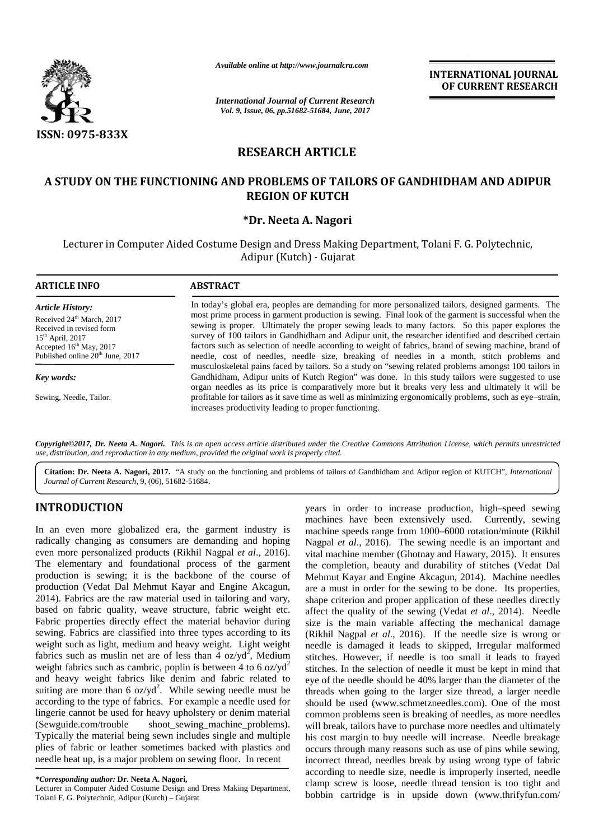

*Available online at http://www.journalcra.com at http://www.journalcra.com*

*International Journal of Current Research Vol. 9, Issue, 06, pp.51682-51684, June, 2017*

**INTERNATIONAL JOURNAL OF CURRENT RESEARCH**

# **RESEARCH ARTICLE**

## **A STUDY ON THE FUNCTIONING AND PROBLEMS OF TAILORS OF GANDHIDHAM AND ADIPUR GANDHIDHAM AND ADIPURREGION OF KUTCH**

### **\*Dr. Neeta A. Nagori \*Dr. Neeta A.**

Lecturer in Computer Aided Costume Design and Dress Making Department, Tolani F. G. Polytechnic,<br>Adipur (Kutch) - Gujarat Adipur (Kutch) - Gujarat

| <b>ARTICLE INFO</b>                                                                                                                                                                             | <b>ABSTRACT</b>                                                                                                                                                                                                                                                                                                                                                                                                                                                                                                                                                                                                              |
|-------------------------------------------------------------------------------------------------------------------------------------------------------------------------------------------------|------------------------------------------------------------------------------------------------------------------------------------------------------------------------------------------------------------------------------------------------------------------------------------------------------------------------------------------------------------------------------------------------------------------------------------------------------------------------------------------------------------------------------------------------------------------------------------------------------------------------------|
| <b>Article History:</b><br>Received 24 <sup>th</sup> March, 2017<br>Received in revised form<br>$15th$ April, 2017<br>Accepted $16th$ May, 2017<br>Published online 20 <sup>th</sup> June, 2017 | In today's global era, peoples are demanding for more personalized tailors, designed garments. The<br>most prime process in garment production is sewing. Final look of the garment is successful when the<br>sewing is proper. Ultimately the proper sewing leads to many factors. So this paper explores the<br>survey of 100 tailors in Gandhidham and Adipur unit, the researcher identified and described certain<br>factors such as selection of needle according to weight of fabrics, brand of sewing machine, brand of<br>needle, cost of needles, needle size, breaking of needles in a month, stitch problems and |
| Key words:                                                                                                                                                                                      | musculoskeletal pains faced by tailors. So a study on "sewing related problems amongst 100 tailors in<br>Gandhidham, Adipur units of Kutch Region" was done. In this study tailors were suggested to use<br>organ needles as its price is comparatively more but it breaks very less and ultimately it will be                                                                                                                                                                                                                                                                                                               |
| Sewing, Needle, Tailor.                                                                                                                                                                         | profitable for tailors as it save time as well as minimizing ergonomically problems, such as eye-strain,<br>increases productivity leading to proper functioning.                                                                                                                                                                                                                                                                                                                                                                                                                                                            |

**Copyright©2017, Dr. Neeta A. Nagori.** This is an open access article distributed under the Creative Commons Attribution License, which permits unrestricted<br>use, distribution, and reproduction in any medium, provided the o *use, distribution, and reproduction in any medium, provided the original work is properly cited.*

**Citation: Dr. Neeta A. Nagori, 2017.** "A study on the functioning and problems of tailors of Gandhidham and Adipur region of KUTCH", *International Journal of Current Research*, 9, (06), 51682-51684.

## **INTRODUCTION INTRODUCTION**

In an even more globalized era, the garment industry is radically changing as consumers are demanding and hoping even more personalized products (Rikhil Nagpal *et al*., 2016). The elementary and foundational process of the garment production is sewing; it is the backbone of the course of production (Vedat Dal Mehmut Kayar and Engine Akcagun, 2014). Fabrics are the raw material used in tailoring and vary, based on fabric quality, weave structure, fabric weight etc. Fabric properties directly effect the material behavior during sewing. Fabrics are classified into three types according to its weight such as light, medium and heavy weight. Light weight  $n$ fabrics such as muslin net are of less than 4 oz/yd<sup>2</sup>, Medium stitches. I weight fabrics such as cambric, poplin is between 4 to 6 oz/ $yd^2$ and heavy weight fabrics like denim and fabric related to suiting are more than 6  $oz/yd^2$ . While sewing needle must be threa according to the type of fabrics. For example a needle used for sh lingerie cannot be used for heavy upholstery or denim material (Sewguide.com/trouble shoot\_sewing\_machine\_problems). Typically the material being sewn includes single and multiple plies of fabric or leather sometimes backed with plastics and occur needle heat up, is a major problem on sewing floor. In recent In an even more globalized era, the garment industry is radically changing as consumers are demanding and hoping Nageu<br>even more personalized products (Rikhil Nagpal *et al.*, 2016). Vita<br>The elementary and foundational pr weight such as light, medium and heavy weight. Light weight abrics such as muslin net are of less than 4 oz/yd<sup>2</sup>, Medium stitch weight fabrics such as cambric, poplin is between 4 to 6 oz/yd<sup>2</sup> stitch and heavy weight fa suiting are more than 6  $\alpha$ z/yd<sup>2</sup>. While sewing needle must be three according to the type of fabrics. For example a needle used for shoulingerie cannot be used for heavy upholstery or denim material com (Sewguide.com/t

**\****Corresponding author:* **Dr. Neeta A. Nagori, \****Corresponding* 

Lecturer in Computer Aided Costume Design and Dress Making Department, Tolani F. G. Polytechnic, Adipur (Kutch) – Gujarat

years in order to increase production, high–speed sewing machines have been extensively used. Currently, sewing machine speeds range from 1000–6000 rotation/minute (Rikhil Nagpal *et al*., 2016). The sewing needle is an important and vital machine member (Ghotnay and Hawary, 2015). It ensures the completion, beauty and durability of stitches (Vedat Dal Mehmut Kayar and Engine Akcagun, 2014). Machine needles are a must in order for the sewing to be done. Its properties, shape criterion and proper application of these needles directly affect the quality of the sewing (Vedat *et al*., 2014). Needle size is the main variable affecting the mechanical damage (Rikhil Nagpal *et al*., 2016). If the needle size is wrong or needle is damaged it leads to skipped, Irregular malformed stitches. However, if needle is too small it leads to frayed stitches. In the selection of needle it must be kept in mind that eye of the needle should be 40% larger than the diameter of the threads when going to the larger size thread, a larger needle should be used (www.schmetzneedles.com). One of the most common problems seen is breaking of needles, as more needles will break, tailors have to purchase more needles and ultimately his cost margin to buy needle will increase. Needle breakage occurs through many reasons such as use of pins while sewing, incorrect thread, needles break by using wrong type of fabric according to needle size, needle is improperly inserted, needle clamp screw is loose, needle thread tension is too tight and bobbin cartridge is in upside down (www.thrifyfun.com/ **APPEAR CONFIDENTIAL ARTICLE ASSOCIATES**<br>
SERVE OPTS-SEEM CONFIDENTIAL ARE PRODUCED IN THE SERVE OF PAILORS OF CANDIMIDIAL ARE ADDITIVE.<br>
ASSEMENTED AND PROBLEMS OF PAILORS OF CANDIMIDIAL ARE ADDITIVE RECORDS TO THE SERVE In an even more globalized era, the garment industry is machine spack eras et stored y used. Currently, severally change in constrained (Extensively used. Currently, severally change in constrained (Extensively the Navig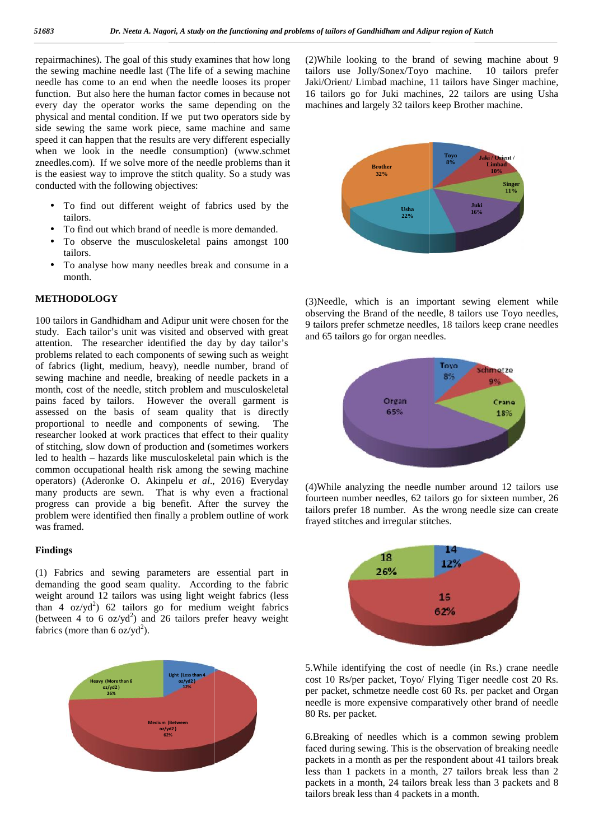repairmachines). The goal of this study examines that how long  $(2)W$ the sewing machine needle last (The life of a sewing machine needle has come to an end when the needle looses its proper function. But also here the human factor comes in because not every day the operator works the same depending on the physical and mental condition. If we put two operators side by side sewing the same work piece, same machine and same speed it can happen that the results are very different especially when we look in the needle consumption) (www.schmet zneedles.com). If we solve more of the needle problems than it is the easiest way to improve the stitch quality. So a study was conducted with the following objectives: the sewing machine needle last (The life of a sewing machine needle has come to an end when the needle looses its proper function. But also here the human factor comes in because not every day the operator works the same d

- To find out different weight of fabrics used by the tailors.
- To find out which brand of needle is more demanded.
- To observe the musculoskeletal pains amongst 100 tailors.
- To analyse how many needles break and consume in a month.

#### **METHODOLOGY METHODOLOGY**

100 tailors in Gandhidham and Adipur unit were chosen for the  $\frac{1}{9}$  ta study. Each tailor's unit was visited and observed with great study. Each tailor's unit was visited and observed with great and attention. The researcher identified the day by day tailor's problems related to each components of sewing such as weight<br>of fabrics (light, medium, heavy), needle number, brand of<br>sewing machine and needle, breaking of needle packets in a of fabrics (light, medium, heavy), needle number, brand of sewing machine and needle, breaking of needle packets in a month, cost of the needle, stitch problem and musculoskeletal month, cost of the needle, stitch problem and musculoskeletal<br>pains faced by tailors. However the overall garment is assessed on the basis of seam quality that is directly proportional to needle and components of sewing. The researcher looked at work practices that effect to their quality of stitching, slow down of production and (sometimes workers led to health – hazards like musculoskeletal pain which is the common occupational health risk among the sewing machine operators) (Aderonke O. Akinpelu *et al*., 2016) Everyday assessed on the basis of seam quality that is directly<br>proportional to needle and components of sewing. The<br>researcher looked at work practices that effect to their quality<br>of stitching, slow down of production and (someti progress can provide a big benefit. After the survey the problem were identified then finally a problem outline of work  $\frac{u_{\text{max}}}{f_{\text{max}}}$ was framed. progress can provide a big benefit. After<br>problem were identified then finally a problem<br>was framed. ernalization The galaxy through a state of the base of prior in the base of the same of the same of the same of the same of the same of the same of the same of the same of the same of the same of the same of the same of t Statistic the human factor comes in because not 16 trains go for Juki machines, 22 tailed methal ondition. If we put the server operator is the methal on the particular on the particular on the particular on the particular

#### **Findings Findings**

(1) Fabrics and sewing parameters are essential part in demanding the good seam quality. According to the fabric weight around 12 tailors was using light weight fabrics (less than 4  $\sigma$ z/yd<sup>2</sup>) 62 tailors go for medium weight fabrics (between 4 to 6  $\sigma$ z/yd<sup>2</sup>) and 26 tailors prefer heavy weight fabrics (more than 6 oz/yd<sup>2</sup>). (1) Fabrics and sewing parameters are essential part in demanding the good seam quality. According to the fabric weight around 12 tailors was using light weight fabrics (less than 4 oz/yd<sup>2</sup>) 62 tailors go for medium weig



(2)While looking to the brand of sewing machine about 9 tailors use Jolly/Sonex/Toyo machine. 10 tailors prefer Jaki/Orient/ Limbad machine, 11 tailors have Singer machine, 16 tailors go for Juki machines, 22 tailors are using Usha machines and largely 32 tailors keep Brother machine.



(3)Needle, which is an important sewing element while observing the Brand of the needle, 8 tailors use Toyo needles, 9 tailors prefer schmetze needles, 18 tailors keep crane needles and 65 tailors go for organ needles.



(4)While analyzing the needle number around 12 tailors use fourteen number needles, 62 tailors go for sixteen number, 26 tailors prefer 18 number. As the wrong needle size can create frayed stitches and irregular stitches.



5.While identifying the cost of needle (in Rs.) crane needle cost 10 Rs/per packet, Toyo/ Flying Tiger needle cost 20 Rs. per packet, schmetze needle cost 60 Rs. per packet and Organ needle is more expensive comparatively other brand of needle 80 Rs. per packet.

6.Breaking of needles which is a common sewing problem faced during sewing. This is the observation of breaking needle packets in a month as per the respondent about 41 tailors break less than 1 packets in a month, 27 tailors break less than 2 packets in a month, 24 tailors break less than 3 packets and 8 tailors break less than 4 packets in a month.